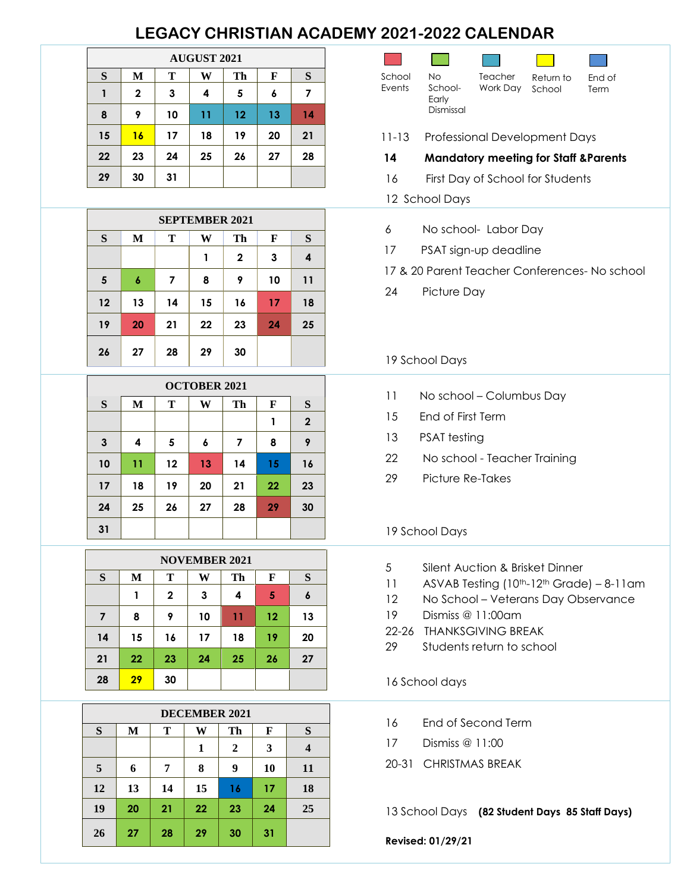# **LEGACY CHRISTIAN ACADEMY 2021-2022 CALENDAR**

| <b>AUGUST 2021</b> |              |    |    |    |    |    |  |  |  |
|--------------------|--------------|----|----|----|----|----|--|--|--|
| S                  | M            | Т  | W  | Th | F  | S  |  |  |  |
|                    | $\mathbf{2}$ | 3  | 4  | 5  | 6  | 7  |  |  |  |
| 8                  | 9            | 10 | 11 | 12 | 13 | 14 |  |  |  |
| 15                 | 16           | 17 | 18 | 19 | 20 | 21 |  |  |  |
| 22                 | 23           | 24 | 25 | 26 | 27 | 28 |  |  |  |
| 29                 | 30           | 31 |    |    |    |    |  |  |  |

| <b>SEPTEMBER 2021</b> |                        |    |    |             |    |    |  |  |  |  |
|-----------------------|------------------------|----|----|-------------|----|----|--|--|--|--|
| S                     | Т<br>F<br>M<br>W<br>Th |    |    |             |    |    |  |  |  |  |
|                       |                        |    | 1  | $\mathbf 2$ | 3  | 4  |  |  |  |  |
| 5                     | 6                      | 7  | 8  | 9           | 10 | 11 |  |  |  |  |
| 12                    | 13                     | 14 | 15 | 16          | 17 | 18 |  |  |  |  |
| 19                    | 20                     | 21 | 22 | 23          | 24 | 25 |  |  |  |  |
| 26                    | 27                     | 28 | 29 | 30          |    |    |  |  |  |  |

| <b>OCTOBER 2021</b> |              |                        |    |    |    |             |  |  |  |  |
|---------------------|--------------|------------------------|----|----|----|-------------|--|--|--|--|
| S                   | $\mathbf{M}$ | S<br>T<br>Th<br>W<br>F |    |    |    |             |  |  |  |  |
|                     |              |                        |    |    | 1  | $\mathbf 2$ |  |  |  |  |
| $\mathbf{3}$        | 4            | 5                      | 6  | 7  | 8  | 9           |  |  |  |  |
| 10                  | 11           | 12                     | 13 | 14 | 15 | 16          |  |  |  |  |
| 17                  | 18           | 19                     | 20 | 21 | 22 | 23          |  |  |  |  |
| 24                  | 25           | 26                     | 27 | 28 | 29 | 30          |  |  |  |  |
| 31                  |              |                        |    |    |    |             |  |  |  |  |

| <b>NOVEMBER 2021</b> |                        |              |    |    |    |    |  |  |  |  |
|----------------------|------------------------|--------------|----|----|----|----|--|--|--|--|
| S                    | T<br>M<br>F<br>W<br>Th |              |    |    |    |    |  |  |  |  |
|                      | 1                      | $\mathbf{2}$ | 3  | 4  | 5  | 6  |  |  |  |  |
| $\overline{7}$       | 8                      | 9            | 10 | 11 | 12 | 13 |  |  |  |  |
| 14                   | 15                     | 16           | 17 | 18 | 19 | 20 |  |  |  |  |
| 21                   | 22                     | 23           | 24 | 25 | 26 | 27 |  |  |  |  |
| 28                   | 29                     | 30           |    |    |    |    |  |  |  |  |

| <b>DECEMBER 2021</b> |    |    |    |                |    |    |  |  |  |  |
|----------------------|----|----|----|----------------|----|----|--|--|--|--|
| S                    | M  | T  | W  | Th             | F  | S  |  |  |  |  |
|                      |    |    | 1  | $\overline{2}$ | 3  | 4  |  |  |  |  |
| 5                    | 6  | 7  | 8  | 9              | 10 | 11 |  |  |  |  |
| 12                   | 13 | 14 | 15 | 16             | 17 | 18 |  |  |  |  |
| 19                   | 20 | 21 | 22 | 23             | 24 | 25 |  |  |  |  |
| 26                   | 27 | 28 | 29 | 30             | 31 |    |  |  |  |  |

| School<br>Events | No.<br>School-<br>Early<br>Dismissal | Teacher<br>Work Day                              | Return to<br>School | End of<br>Term                                |
|------------------|--------------------------------------|--------------------------------------------------|---------------------|-----------------------------------------------|
| 11-13            |                                      | <b>Professional Development Days</b>             |                     |                                               |
| 14               |                                      | <b>Mandatory meeting for Staff &amp; Parents</b> |                     |                                               |
| 16               |                                      | First Day of School for Students                 |                     |                                               |
|                  | 12 School Days                       |                                                  |                     |                                               |
| 6                |                                      | No school- Labor Day                             |                     |                                               |
| 17               |                                      | PSAT sign-up deadline                            |                     |                                               |
|                  |                                      |                                                  |                     | 17 & 20 Parent Teacher Conferences- No school |
| 24               | Picture Day                          |                                                  |                     |                                               |
|                  |                                      |                                                  |                     |                                               |
|                  |                                      |                                                  |                     |                                               |

## 19 School Days

- 11 No school Columbus Day
- 15 End of First Term
- 13 PSAT testing
- 22 No school Teacher Training
- 29 Picture Re-Takes

# 19 School Days

- 5 Silent Auction & Brisket Dinner
- 11 ASVAB Testing (10<sup>th</sup>-12<sup>th</sup> Grade) 8-11am
- 12 No School Veterans Day Observance
- 19 Dismiss @ 11:00am
- 22-26 THANKSGIVING BREAK
- 29 Students return to school

## 16 School days

- 16 End of Second Term
- 17 Dismiss @ 11:00
- 20-31 CHRISTMAS BREAK

13 School Days **(82 Student Days 85 Staff Days)**

#### **Revised: 01/29/21**